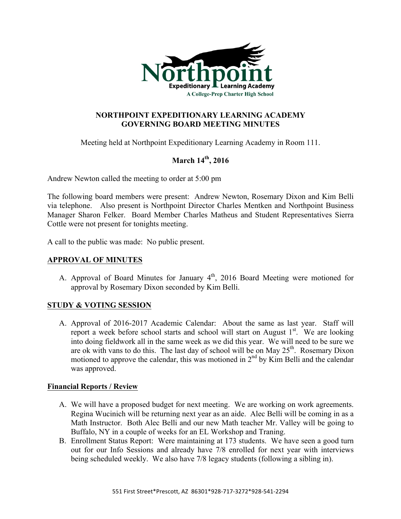

## **NORTHPOINT EXPEDITIONARY LEARNING ACADEMY GOVERNING BOARD MEETING MINUTES**

Meeting held at Northpoint Expeditionary Learning Academy in Room 111.

# **March 14th, 2016**

Andrew Newton called the meeting to order at 5:00 pm

The following board members were present: Andrew Newton, Rosemary Dixon and Kim Belli via telephone. Also present is Northpoint Director Charles Mentken and Northpoint Business Manager Sharon Felker. Board Member Charles Matheus and Student Representatives Sierra Cottle were not present for tonights meeting.

A call to the public was made: No public present.

## **APPROVAL OF MINUTES**

A. Approval of Board Minutes for January  $4<sup>th</sup>$ , 2016 Board Meeting were motioned for approval by Rosemary Dixon seconded by Kim Belli.

## **STUDY & VOTING SESSION**

A. Approval of 2016-2017 Academic Calendar: About the same as last year. Staff will report a week before school starts and school will start on August  $1<sup>st</sup>$ . We are looking into doing fieldwork all in the same week as we did this year. We will need to be sure we are ok with vans to do this. The last day of school will be on May  $25<sup>th</sup>$ . Rosemary Dixon motioned to approve the calendar, this was motioned in  $2<sup>nd</sup>$  by Kim Belli and the calendar was approved.

## **Financial Reports / Review**

- A. We will have a proposed budget for next meeting. We are working on work agreements. Regina Wucinich will be returning next year as an aide. Alec Belli will be coming in as a Math Instructor. Both Alec Belli and our new Math teacher Mr. Valley will be going to Buffalo, NY in a couple of weeks for an EL Workshop and Traning.
- B. Enrollment Status Report: Were maintaining at 173 students. We have seen a good turn out for our Info Sessions and already have 7/8 enrolled for next year with interviews being scheduled weekly. We also have 7/8 legacy students (following a sibling in).